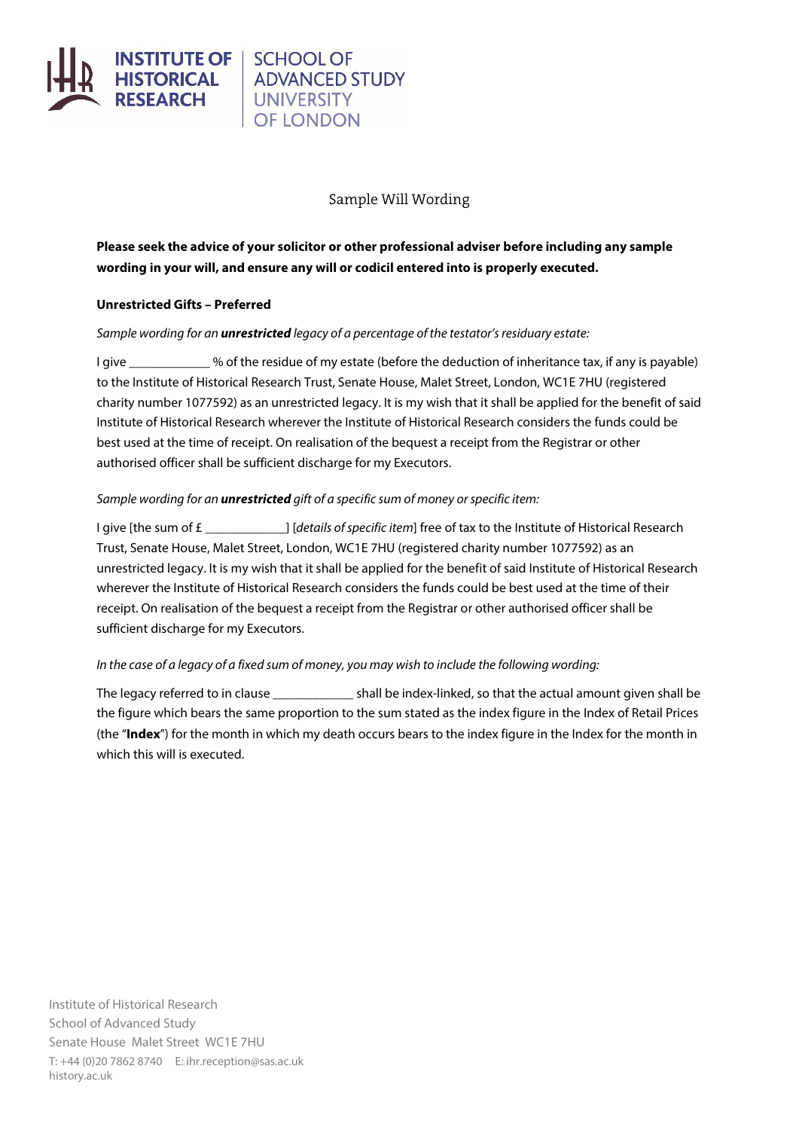

# **UNIVERSITY OF LONDON**

## Sample Will Wording

**Please seek the advice of your solicitor or other professional adviser before including any sample wording in your will, and ensure any will or codicil entered into is properly executed.**

## **Unrestricted Gifts – Preferred**

#### *Sample wording for an unrestricted legacy of a percentage of the testator's residuary estate:*

I give  $\sim$  % of the residue of my estate (before the deduction of inheritance tax, if any is payable) to the Institute of Historical Research Trust, Senate House, Malet Street, London, WC1E 7HU (registered charity number 1077592) as an unrestricted legacy. It is my wish that it shall be applied for the benefit of said Institute of Historical Research wherever the Institute of Historical Research considers the funds could be best used at the time of receipt. On realisation of the bequest a receipt from the Registrar or other authorised officer shall be sufficient discharge for my Executors.

## *Sample wording for an unrestricted gift of a specific sum of money or specific item:*

I give [the sum of £ \_\_\_\_\_\_\_\_\_\_\_\_] [*details of specific item*] free of tax to the Institute of Historical Research Trust, Senate House, Malet Street, London, WC1E 7HU (registered charity number 1077592) as an unrestricted legacy. It is my wish that it shall be applied for the benefit of said Institute of Historical Research wherever the Institute of Historical Research considers the funds could be best used at the time of their receipt. On realisation of the bequest a receipt from the Registrar or other authorised officer shall be sufficient discharge for my Executors.

## *In the case of a legacy of a fixed sum of money, you may wish to include the following wording:*

The legacy referred to in clause the shall be index-linked, so that the actual amount given shall be the figure which bears the same proportion to the sum stated as the index figure in the Index of Retail Prices (the "**Index**") for the month in which my death occurs bears to the index figure in the Index for the month in which this will is executed.

Institute of Historical Research School of Advanced Study Senate House Malet Street WC1E 7HU T: +44 (0)20 7862 8740 E: [ihr.reception@sas.ac.uk](mailto:ihr.reception@sas.ac.uk) history.ac.uk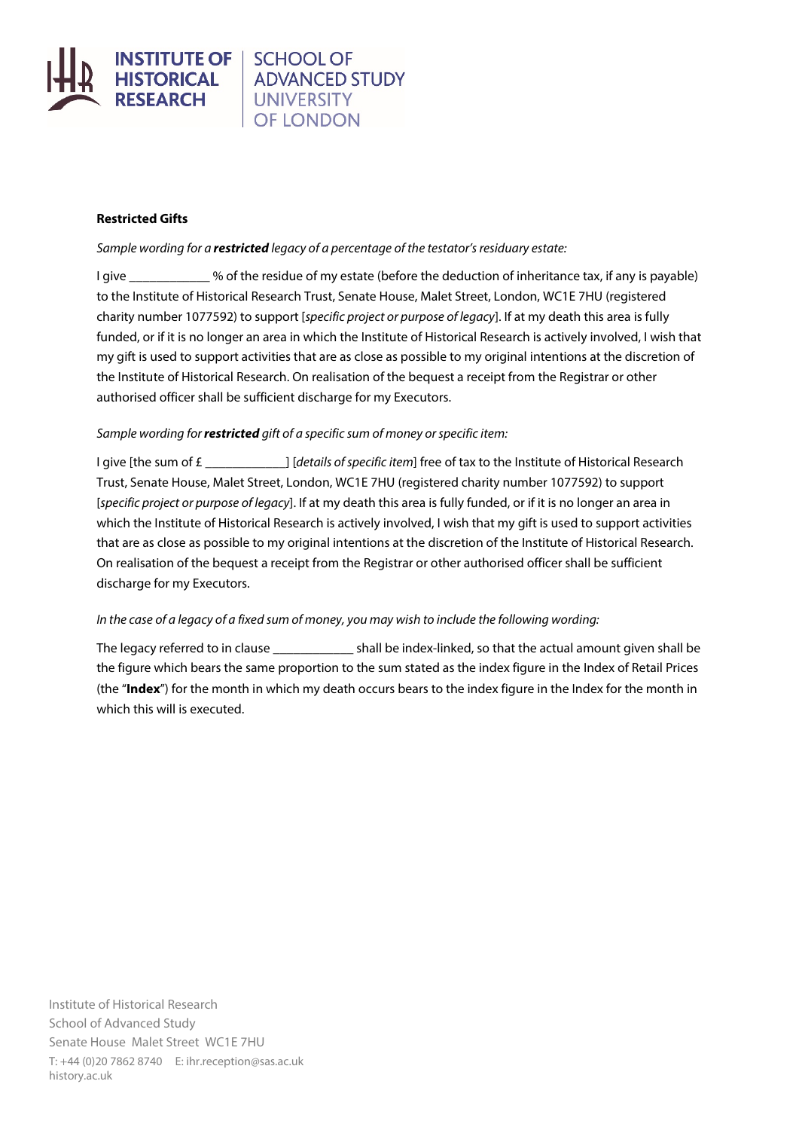

## **SCHOOL OF ADVANCED STUDY UNIVERSITY OF LONDON**

## **Restricted Gifts**

## *Sample wording for a restricted legacy of a percentage of the testator's residuary estate:*

I give \_\_\_\_\_\_\_\_\_\_\_\_ % of the residue of my estate (before the deduction of inheritance tax, if any is payable) to the Institute of Historical Research Trust, Senate House, Malet Street, London, WC1E 7HU (registered charity number 1077592) to support [*specific project or purpose of legacy*]. If at my death this area is fully funded, or if it is no longer an area in which the Institute of Historical Research is actively involved, I wish that my gift is used to support activities that are as close as possible to my original intentions at the discretion of the Institute of Historical Research. On realisation of the bequest a receipt from the Registrar or other authorised officer shall be sufficient discharge for my Executors.

## *Sample wording for restricted gift of a specific sum of money or specific item:*

I give [the sum of £ \_\_\_\_\_\_\_\_\_\_\_\_] [*details of specific item*] free of tax to the Institute of Historical Research Trust, Senate House, Malet Street, London, WC1E 7HU (registered charity number 1077592) to support [*specific project or purpose of legacy*]. If at my death this area is fully funded, or if it is no longer an area in which the Institute of Historical Research is actively involved, I wish that my gift is used to support activities that are as close as possible to my original intentions at the discretion of the Institute of Historical Research. On realisation of the bequest a receipt from the Registrar or other authorised officer shall be sufficient discharge for my Executors.

## *In the case of a legacy of a fixed sum of money, you may wish to include the following wording:*

The legacy referred to in clause **Example 2** shall be index-linked, so that the actual amount given shall be the figure which bears the same proportion to the sum stated as the index figure in the Index of Retail Prices (the "**Index**") for the month in which my death occurs bears to the index figure in the Index for the month in which this will is executed.

Institute of Historical Research School of Advanced Study Senate House Malet Street WC1E 7HU T: +44 (0)20 7862 8740 E: [ihr.reception@sas.ac.uk](mailto:ihr.reception@sas.ac.uk) history.ac.uk